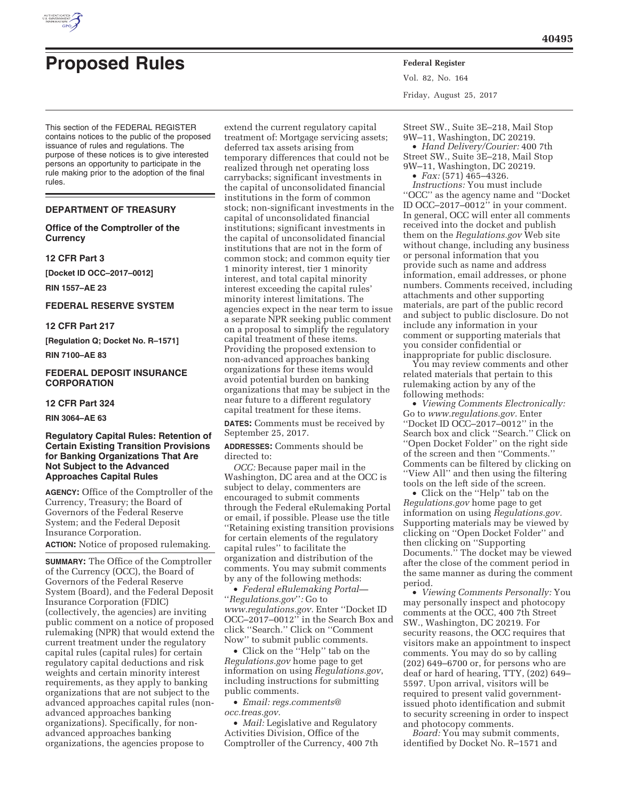

# **Proposed Rules Federal Register**

This section of the FEDERAL REGISTER contains notices to the public of the proposed issuance of rules and regulations. The purpose of these notices is to give interested persons an opportunity to participate in the rule making prior to the adoption of the final rules.

### **DEPARTMENT OF TREASURY**

**Office of the Comptroller of the Currency** 

### **12 CFR Part 3**

**[Docket ID OCC–2017–0012]** 

**RIN 1557–AE 23** 

### **FEDERAL RESERVE SYSTEM**

**12 CFR Part 217** 

**[Regulation Q; Docket No. R–1571]** 

**RIN 7100–AE 83** 

### **FEDERAL DEPOSIT INSURANCE CORPORATION**

### **12 CFR Part 324**

**RIN 3064–AE 63** 

### **Regulatory Capital Rules: Retention of Certain Existing Transition Provisions for Banking Organizations That Are Not Subject to the Advanced Approaches Capital Rules**

**AGENCY:** Office of the Comptroller of the Currency, Treasury; the Board of Governors of the Federal Reserve System; and the Federal Deposit Insurance Corporation.

**ACTION:** Notice of proposed rulemaking.

**SUMMARY:** The Office of the Comptroller of the Currency (OCC), the Board of Governors of the Federal Reserve System (Board), and the Federal Deposit Insurance Corporation (FDIC) (collectively, the agencies) are inviting public comment on a notice of proposed rulemaking (NPR) that would extend the current treatment under the regulatory capital rules (capital rules) for certain regulatory capital deductions and risk weights and certain minority interest requirements, as they apply to banking organizations that are not subject to the advanced approaches capital rules (nonadvanced approaches banking organizations). Specifically, for nonadvanced approaches banking organizations, the agencies propose to

extend the current regulatory capital treatment of: Mortgage servicing assets; deferred tax assets arising from temporary differences that could not be realized through net operating loss carrybacks; significant investments in the capital of unconsolidated financial institutions in the form of common stock; non-significant investments in the capital of unconsolidated financial institutions; significant investments in the capital of unconsolidated financial institutions that are not in the form of common stock; and common equity tier 1 minority interest, tier 1 minority interest, and total capital minority interest exceeding the capital rules' minority interest limitations. The agencies expect in the near term to issue a separate NPR seeking public comment on a proposal to simplify the regulatory capital treatment of these items. Providing the proposed extension to non-advanced approaches banking organizations for these items would avoid potential burden on banking organizations that may be subject in the near future to a different regulatory capital treatment for these items.

**DATES:** Comments must be received by September 25, 2017.

**ADDRESSES:** Comments should be directed to:

*OCC:* Because paper mail in the Washington, DC area and at the OCC is subject to delay, commenters are encouraged to submit comments through the Federal eRulemaking Portal or email, if possible. Please use the title ''Retaining existing transition provisions for certain elements of the regulatory capital rules'' to facilitate the organization and distribution of the comments. You may submit comments by any of the following methods:

• *Federal eRulemaking Portal—*  ''*Regulations.gov*''*:* Go to *www.regulations.gov.* Enter ''Docket ID OCC–2017–0012'' in the Search Box and click ''Search.'' Click on ''Comment Now'' to submit public comments.

• Click on the ''Help'' tab on the *Regulations.gov* home page to get information on using *Regulations.gov*, including instructions for submitting public comments.

• *Email: regs.comments@ occ.treas.gov.* 

• *Mail:* Legislative and Regulatory Activities Division, Office of the Comptroller of the Currency, 400 7th Vol. 82, No. 164 Friday, August 25, 2017

Street SW., Suite 3E–218, Mail Stop 9W–11, Washington, DC 20219. • *Hand Delivery/Courier:* 400 7th

Street SW., Suite 3E–218, Mail Stop 9W–11, Washington, DC 20219. • *Fax:* (571) 465–4326.

*Instructions:* You must include ''OCC'' as the agency name and ''Docket ID OCC–2017–0012'' in your comment. In general, OCC will enter all comments received into the docket and publish them on the *Regulations.gov* Web site without change, including any business or personal information that you provide such as name and address information, email addresses, or phone numbers. Comments received, including attachments and other supporting materials, are part of the public record and subject to public disclosure. Do not include any information in your comment or supporting materials that you consider confidential or inappropriate for public disclosure.

You may review comments and other related materials that pertain to this rulemaking action by any of the following methods:

• *Viewing Comments Electronically:*  Go to *www.regulations.gov.* Enter ''Docket ID OCC–2017–0012'' in the Search box and click ''Search.'' Click on ''Open Docket Folder'' on the right side of the screen and then ''Comments.'' Comments can be filtered by clicking on ''View All'' and then using the filtering tools on the left side of the screen.

• Click on the ''Help'' tab on the *Regulations.gov* home page to get information on using *Regulations.gov.*  Supporting materials may be viewed by clicking on ''Open Docket Folder'' and then clicking on ''Supporting Documents.'' The docket may be viewed after the close of the comment period in the same manner as during the comment period.

• *Viewing Comments Personally:* You may personally inspect and photocopy comments at the OCC, 400 7th Street SW., Washington, DC 20219. For security reasons, the OCC requires that visitors make an appointment to inspect comments. You may do so by calling (202) 649–6700 or, for persons who are deaf or hard of hearing, TTY, (202) 649– 5597. Upon arrival, visitors will be required to present valid governmentissued photo identification and submit to security screening in order to inspect and photocopy comments.

*Board:* You may submit comments, identified by Docket No. R–1571 and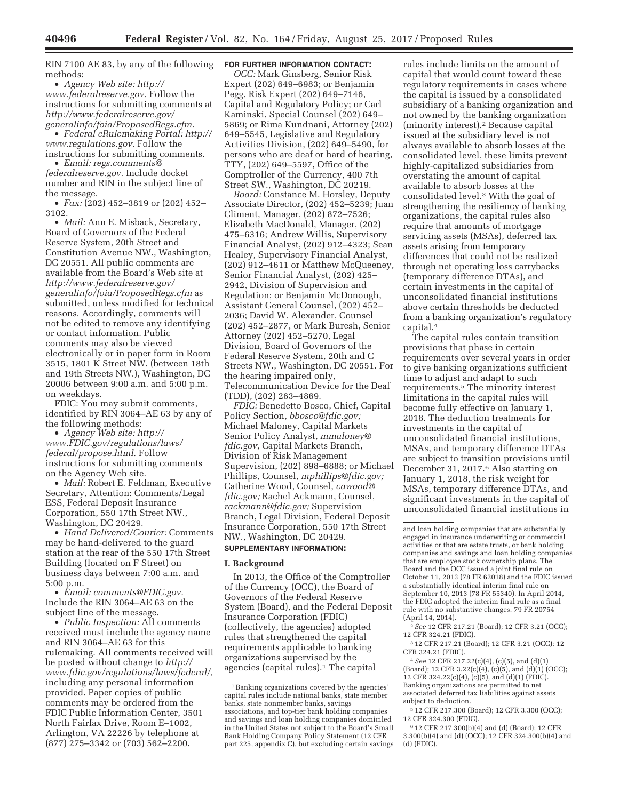RIN 7100 AE 83, by any of the following methods:

• *Agency Web site: http:// www.federalreserve.gov.* Follow the instructions for submitting comments at *http://www.federalreserve.gov/ generalinfo/foia/ProposedRegs.cfm.* 

• *Federal eRulemaking Portal: http:// www.regulations.gov.* Follow the instructions for submitting comments.

• *Email: regs.comments@ federalreserve.gov.* Include docket number and RIN in the subject line of the message.

• *Fax:* (202) 452–3819 or (202) 452– 3102.

• *Mail:* Ann E. Misback, Secretary, Board of Governors of the Federal Reserve System, 20th Street and Constitution Avenue NW., Washington, DC 20551. All public comments are available from the Board's Web site at *http://www.federalreserve.gov/ generalinfo/foia/ProposedRegs.cfm* as submitted, unless modified for technical reasons. Accordingly, comments will not be edited to remove any identifying or contact information. Public comments may also be viewed electronically or in paper form in Room 3515, 1801 K Street NW. (between 18th and 19th Streets NW.), Washington, DC 20006 between 9:00 a.m. and 5:00 p.m. on weekdays.

FDIC: You may submit comments, identified by RIN 3064–AE 63 by any of the following methods:

• *Agency Web site: http:// www.FDIC.gov/regulations/laws/ federal/propose.html.* Follow instructions for submitting comments on the Agency Web site.

• *Mail:* Robert E. Feldman, Executive Secretary, Attention: Comments/Legal ESS, Federal Deposit Insurance Corporation, 550 17th Street NW., Washington, DC 20429.

• *Hand Delivered/Courier:* Comments may be hand-delivered to the guard station at the rear of the 550 17th Street Building (located on F Street) on business days between 7:00 a.m. and 5:00 p.m.

• *Email: comments@FDIC.gov.*  Include the RIN 3064–AE 63 on the subject line of the message.

• *Public Inspection:* All comments received must include the agency name and RIN 3064–AE 63 for this rulemaking. All comments received will be posted without change to *http:// www.fdic.gov/regulations/laws/federal/,*  including any personal information provided. Paper copies of public comments may be ordered from the FDIC Public Information Center, 3501 North Fairfax Drive, Room E–1002, Arlington, VA 22226 by telephone at (877) 275–3342 or (703) 562–2200.

### **FOR FURTHER INFORMATION CONTACT:**

*OCC:* Mark Ginsberg, Senior Risk Expert (202) 649–6983; or Benjamin Pegg, Risk Expert (202) 649–7146, Capital and Regulatory Policy; or Carl Kaminski, Special Counsel (202) 649– 5869; or Rima Kundnani, Attorney (202) 649–5545, Legislative and Regulatory Activities Division, (202) 649–5490, for persons who are deaf or hard of hearing, TTY, (202) 649–5597, Office of the Comptroller of the Currency, 400 7th Street SW., Washington, DC 20219.

*Board:* Constance M. Horsley, Deputy Associate Director, (202) 452–5239; Juan Climent, Manager, (202) 872–7526; Elizabeth MacDonald, Manager, (202) 475–6316; Andrew Willis, Supervisory Financial Analyst, (202) 912–4323; Sean Healey, Supervisory Financial Analyst, (202) 912–4611 or Matthew McQueeney, Senior Financial Analyst, (202) 425– 2942, Division of Supervision and Regulation; or Benjamin McDonough, Assistant General Counsel, (202) 452– 2036; David W. Alexander, Counsel (202) 452–2877, or Mark Buresh, Senior Attorney (202) 452–5270, Legal Division, Board of Governors of the Federal Reserve System, 20th and C Streets NW., Washington, DC 20551. For the hearing impaired only, Telecommunication Device for the Deaf (TDD), (202) 263–4869.

*FDIC:* Benedetto Bosco, Chief, Capital Policy Section, *bbosco@fdic.gov;*  Michael Maloney, Capital Markets Senior Policy Analyst, *mmaloney@ fdic.gov,* Capital Markets Branch, Division of Risk Management Supervision, (202) 898–6888; or Michael Phillips, Counsel, *mphillips@fdic.gov;*  Catherine Wood, Counsel, *cawood@ fdic.gov;* Rachel Ackmann, Counsel, *rackmann@fdic.gov;* Supervision Branch, Legal Division, Federal Deposit Insurance Corporation, 550 17th Street NW., Washington, DC 20429.

### **SUPPLEMENTARY INFORMATION:**

### **I. Background**

In 2013, the Office of the Comptroller of the Currency (OCC), the Board of Governors of the Federal Reserve System (Board), and the Federal Deposit Insurance Corporation (FDIC) (collectively, the agencies) adopted rules that strengthened the capital requirements applicable to banking organizations supervised by the agencies (capital rules).1 The capital

rules include limits on the amount of capital that would count toward these regulatory requirements in cases where the capital is issued by a consolidated subsidiary of a banking organization and not owned by the banking organization (minority interest).2 Because capital issued at the subsidiary level is not always available to absorb losses at the consolidated level, these limits prevent highly-capitalized subsidiaries from overstating the amount of capital available to absorb losses at the consolidated level.3 With the goal of strengthening the resiliency of banking organizations, the capital rules also require that amounts of mortgage servicing assets (MSAs), deferred tax assets arising from temporary differences that could not be realized through net operating loss carrybacks (temporary difference DTAs), and certain investments in the capital of unconsolidated financial institutions above certain thresholds be deducted from a banking organization's regulatory capital.4

The capital rules contain transition provisions that phase in certain requirements over several years in order to give banking organizations sufficient time to adjust and adapt to such requirements.5 The minority interest limitations in the capital rules will become fully effective on January 1, 2018. The deduction treatments for investments in the capital of unconsolidated financial institutions, MSAs, and temporary difference DTAs are subject to transition provisions until December 31, 2017.6 Also starting on January 1, 2018, the risk weight for MSAs, temporary difference DTAs, and significant investments in the capital of unconsolidated financial institutions in

2*See* 12 CFR 217.21 (Board); 12 CFR 3.21 (OCC); 12 CFR 324.21 (FDIC).

3 12 CFR 217.21 (Board); 12 CFR 3.21 (OCC); 12 CFR 324.21 (FDIC).

4*See* 12 CFR 217.22(c)(4), (c)(5), and (d)(1) (Board); 12 CFR 3.22(c)(4), (c)(5), and (d)(1) (OCC); 12 CFR 324.22(c)(4), (c)(5), and (d)(1) (FDIC). Banking organizations are permitted to net associated deferred tax liabilities against assets subject to deduction.

5 12 CFR 217.300 (Board); 12 CFR 3.300 (OCC); 12 CFR 324.300 (FDIC).

6 12 CFR 217.300(b)(4) and (d) (Board); 12 CFR 3.300(b)(4) and (d) (OCC); 12 CFR 324.300(b)(4) and (d) (FDIC).

<sup>1</sup>Banking organizations covered by the agencies' capital rules include national banks, state member banks, state nonmember banks, savings associations, and top-tier bank holding companies and savings and loan holding companies domiciled in the United States not subject to the Board's Small Bank Holding Company Policy Statement (12 CFR part 225, appendix C), but excluding certain savings

and loan holding companies that are substantially engaged in insurance underwriting or commercial activities or that are estate trusts, or bank holding companies and savings and loan holding companies that are employee stock ownership plans. The Board and the OCC issued a joint final rule on October 11, 2013 (78 FR 62018) and the FDIC issued a substantially identical interim final rule on September 10, 2013 (78 FR 55340). In April 2014, the FDIC adopted the interim final rule as a final rule with no substantive changes. 79 FR 20754 (April 14, 2014).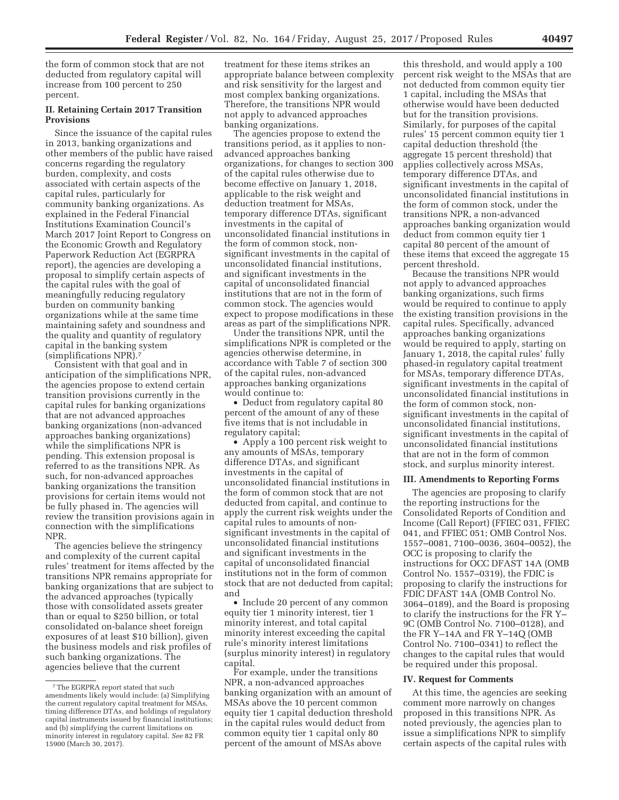the form of common stock that are not deducted from regulatory capital will increase from 100 percent to 250 percent.

### **II. Retaining Certain 2017 Transition Provisions**

Since the issuance of the capital rules in 2013, banking organizations and other members of the public have raised concerns regarding the regulatory burden, complexity, and costs associated with certain aspects of the capital rules, particularly for community banking organizations. As explained in the Federal Financial Institutions Examination Council's March 2017 Joint Report to Congress on the Economic Growth and Regulatory Paperwork Reduction Act (EGRPRA report), the agencies are developing a proposal to simplify certain aspects of the capital rules with the goal of meaningfully reducing regulatory burden on community banking organizations while at the same time maintaining safety and soundness and the quality and quantity of regulatory capital in the banking system (simplifications NPR).7

Consistent with that goal and in anticipation of the simplifications NPR, the agencies propose to extend certain transition provisions currently in the capital rules for banking organizations that are not advanced approaches banking organizations (non-advanced approaches banking organizations) while the simplifications NPR is pending. This extension proposal is referred to as the transitions NPR. As such, for non-advanced approaches banking organizations the transition provisions for certain items would not be fully phased in. The agencies will review the transition provisions again in connection with the simplifications NPR.

The agencies believe the stringency and complexity of the current capital rules' treatment for items affected by the transitions NPR remains appropriate for banking organizations that are subject to the advanced approaches (typically those with consolidated assets greater than or equal to \$250 billion, or total consolidated on-balance sheet foreign exposures of at least \$10 billion), given the business models and risk profiles of such banking organizations. The agencies believe that the current

treatment for these items strikes an appropriate balance between complexity and risk sensitivity for the largest and most complex banking organizations. Therefore, the transitions NPR would not apply to advanced approaches banking organizations.

The agencies propose to extend the transitions period, as it applies to nonadvanced approaches banking organizations, for changes to section 300 of the capital rules otherwise due to become effective on January 1, 2018, applicable to the risk weight and deduction treatment for MSAs, temporary difference DTAs, significant investments in the capital of unconsolidated financial institutions in the form of common stock, nonsignificant investments in the capital of unconsolidated financial institutions, and significant investments in the capital of unconsolidated financial institutions that are not in the form of common stock. The agencies would expect to propose modifications in these areas as part of the simplifications NPR.

Under the transitions NPR, until the simplifications NPR is completed or the agencies otherwise determine, in accordance with Table 7 of section 300 of the capital rules, non-advanced approaches banking organizations would continue to:

• Deduct from regulatory capital 80 percent of the amount of any of these five items that is not includable in regulatory capital;

• Apply a 100 percent risk weight to any amounts of MSAs, temporary difference DTAs, and significant investments in the capital of unconsolidated financial institutions in the form of common stock that are not deducted from capital, and continue to apply the current risk weights under the capital rules to amounts of nonsignificant investments in the capital of unconsolidated financial institutions and significant investments in the capital of unconsolidated financial institutions not in the form of common stock that are not deducted from capital; and

• Include 20 percent of any common equity tier 1 minority interest, tier 1 minority interest, and total capital minority interest exceeding the capital rule's minority interest limitations (surplus minority interest) in regulatory capital.

For example, under the transitions NPR, a non-advanced approaches banking organization with an amount of MSAs above the 10 percent common equity tier 1 capital deduction threshold in the capital rules would deduct from common equity tier 1 capital only 80 percent of the amount of MSAs above

this threshold, and would apply a 100 percent risk weight to the MSAs that are not deducted from common equity tier 1 capital, including the MSAs that otherwise would have been deducted but for the transition provisions. Similarly, for purposes of the capital rules' 15 percent common equity tier 1 capital deduction threshold (the aggregate 15 percent threshold) that applies collectively across MSAs, temporary difference DTAs, and significant investments in the capital of unconsolidated financial institutions in the form of common stock, under the transitions NPR, a non-advanced approaches banking organization would deduct from common equity tier 1 capital 80 percent of the amount of these items that exceed the aggregate 15 percent threshold.

Because the transitions NPR would not apply to advanced approaches banking organizations, such firms would be required to continue to apply the existing transition provisions in the capital rules. Specifically, advanced approaches banking organizations would be required to apply, starting on January 1, 2018, the capital rules' fully phased-in regulatory capital treatment for MSAs, temporary difference DTAs, significant investments in the capital of unconsolidated financial institutions in the form of common stock, nonsignificant investments in the capital of unconsolidated financial institutions, significant investments in the capital of unconsolidated financial institutions that are not in the form of common stock, and surplus minority interest.

### **III. Amendments to Reporting Forms**

The agencies are proposing to clarify the reporting instructions for the Consolidated Reports of Condition and Income (Call Report) (FFIEC 031, FFIEC 041, and FFIEC 051; OMB Control Nos. 1557–0081, 7100–0036, 3604–0052), the OCC is proposing to clarify the instructions for OCC DFAST 14A (OMB Control No. 1557–0319), the FDIC is proposing to clarify the instructions for FDIC DFAST 14A (OMB Control No. 3064–0189), and the Board is proposing to clarify the instructions for the FR Y– 9C (OMB Control No. 7100–0128), and the FR Y–14A and FR Y–14Q (OMB Control No. 7100–0341) to reflect the changes to the capital rules that would be required under this proposal.

### **IV. Request for Comments**

At this time, the agencies are seeking comment more narrowly on changes proposed in this transitions NPR. As noted previously, the agencies plan to issue a simplifications NPR to simplify certain aspects of the capital rules with

<sup>7</sup>The EGRPRA report stated that such amendments likely would include: (a) Simplifying the current regulatory capital treatment for MSAs, timing difference DTAs, and holdings of regulatory capital instruments issued by financial institutions; and (b) simplifying the current limitations on minority interest in regulatory capital. *See* 82 FR 15900 (March 30, 2017).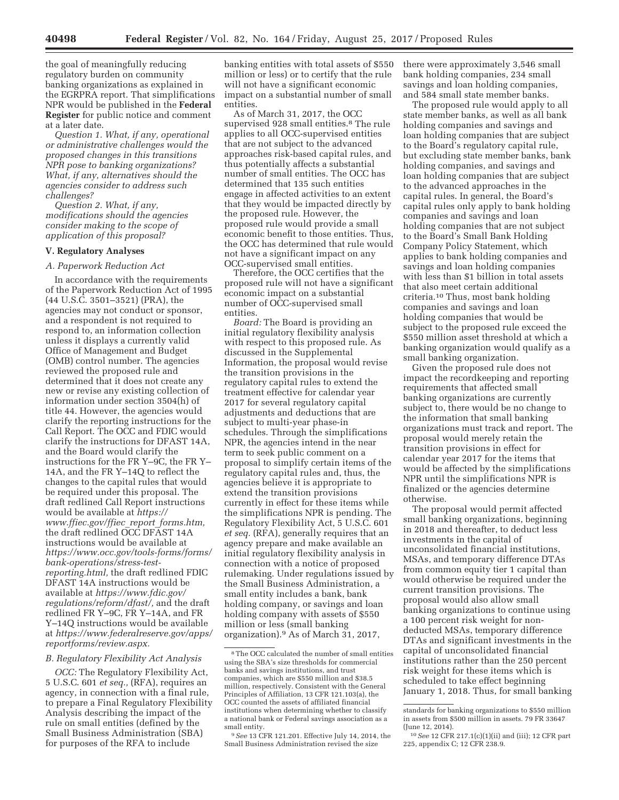the goal of meaningfully reducing regulatory burden on community banking organizations as explained in the EGRPRA report. That simplifications NPR would be published in the **Federal Register** for public notice and comment at a later date.

*Question 1. What, if any, operational or administrative challenges would the proposed changes in this transitions NPR pose to banking organizations? What, if any, alternatives should the agencies consider to address such challenges?* 

*Question 2. What, if any, modifications should the agencies consider making to the scope of application of this proposal?* 

### **V. Regulatory Analyses**

### *A. Paperwork Reduction Act*

In accordance with the requirements of the Paperwork Reduction Act of 1995 (44 U.S.C. 3501–3521) (PRA), the agencies may not conduct or sponsor, and a respondent is not required to respond to, an information collection unless it displays a currently valid Office of Management and Budget (OMB) control number. The agencies reviewed the proposed rule and determined that it does not create any new or revise any existing collection of information under section 3504(h) of title 44. However, the agencies would clarify the reporting instructions for the Call Report. The OCC and FDIC would clarify the instructions for DFAST 14A, and the Board would clarify the instructions for the FR Y–9C, the FR Y– 14A, and the FR Y–14Q to reflect the changes to the capital rules that would be required under this proposal. The draft redlined Call Report instructions would be available at *https:// www.ffiec.gov/ffiec*\_*report*\_*forms.htm,*  the draft redlined OCC DFAST 14A instructions would be available at *https://www.occ.gov/tools-forms/forms/ bank-operations/stress-testreporting.html,* the draft redlined FDIC DFAST 14A instructions would be available at *https://www.fdic.gov/ regulations/reform/dfast/,* and the draft redlined FR Y–9C, FR Y–14A, and FR Y–14Q instructions would be available at *https://www.federalreserve.gov/apps/ reportforms/review.aspx.* 

### *B. Regulatory Flexibility Act Analysis*

*OCC:* The Regulatory Flexibility Act, 5 U.S.C. 601 *et seq.,* (RFA), requires an agency, in connection with a final rule, to prepare a Final Regulatory Flexibility Analysis describing the impact of the rule on small entities (defined by the Small Business Administration (SBA) for purposes of the RFA to include

banking entities with total assets of \$550 million or less) or to certify that the rule will not have a significant economic impact on a substantial number of small entities.

As of March 31, 2017, the OCC supervised 928 small entities.8 The rule applies to all OCC-supervised entities that are not subject to the advanced approaches risk-based capital rules, and thus potentially affects a substantial number of small entities. The OCC has determined that 135 such entities engage in affected activities to an extent that they would be impacted directly by the proposed rule. However, the proposed rule would provide a small economic benefit to those entities. Thus, the OCC has determined that rule would not have a significant impact on any OCC-supervised small entities.

Therefore, the OCC certifies that the proposed rule will not have a significant economic impact on a substantial number of OCC-supervised small entities.

*Board:* The Board is providing an initial regulatory flexibility analysis with respect to this proposed rule. As discussed in the Supplemental Information, the proposal would revise the transition provisions in the regulatory capital rules to extend the treatment effective for calendar year 2017 for several regulatory capital adjustments and deductions that are subject to multi-year phase-in schedules. Through the simplifications NPR, the agencies intend in the near term to seek public comment on a proposal to simplify certain items of the regulatory capital rules and, thus, the agencies believe it is appropriate to extend the transition provisions currently in effect for these items while the simplifications NPR is pending. The Regulatory Flexibility Act, 5 U.S.C. 601 *et seq.* (RFA), generally requires that an agency prepare and make available an initial regulatory flexibility analysis in connection with a notice of proposed rulemaking. Under regulations issued by the Small Business Administration, a small entity includes a bank, bank holding company, or savings and loan holding company with assets of \$550 million or less (small banking organization).9 As of March 31, 2017,

9*See* 13 CFR 121.201. Effective July 14, 2014, the Small Business Administration revised the size

there were approximately 3,546 small bank holding companies, 234 small savings and loan holding companies, and 584 small state member banks.

The proposed rule would apply to all state member banks, as well as all bank holding companies and savings and loan holding companies that are subject to the Board's regulatory capital rule, but excluding state member banks, bank holding companies, and savings and loan holding companies that are subject to the advanced approaches in the capital rules. In general, the Board's capital rules only apply to bank holding companies and savings and loan holding companies that are not subject to the Board's Small Bank Holding Company Policy Statement, which applies to bank holding companies and savings and loan holding companies with less than \$1 billion in total assets that also meet certain additional criteria.10 Thus, most bank holding companies and savings and loan holding companies that would be subject to the proposed rule exceed the \$550 million asset threshold at which a banking organization would qualify as a small banking organization.

Given the proposed rule does not impact the recordkeeping and reporting requirements that affected small banking organizations are currently subject to, there would be no change to the information that small banking organizations must track and report. The proposal would merely retain the transition provisions in effect for calendar year 2017 for the items that would be affected by the simplifications NPR until the simplifications NPR is finalized or the agencies determine otherwise.

The proposal would permit affected small banking organizations, beginning in 2018 and thereafter, to deduct less investments in the capital of unconsolidated financial institutions, MSAs, and temporary difference DTAs from common equity tier 1 capital than would otherwise be required under the current transition provisions. The proposal would also allow small banking organizations to continue using a 100 percent risk weight for nondeducted MSAs, temporary difference DTAs and significant investments in the capital of unconsolidated financial institutions rather than the 250 percent risk weight for these items which is scheduled to take effect beginning January 1, 2018. Thus, for small banking

<sup>8</sup>The OCC calculated the number of small entities using the SBA's size thresholds for commercial banks and savings institutions, and trust companies, which are \$550 million and \$38.5 million, respectively. Consistent with the General Principles of Affiliation, 13 CFR 121.103(a), the OCC counted the assets of affiliated financial institutions when determining whether to classify a national bank or Federal savings association as a small entity.

standards for banking organizations to \$550 million in assets from \$500 million in assets. 79 FR 33647 (June 12, 2014).

<sup>10</sup>*See* 12 CFR 217.1(c)(1)(ii) and (iii); 12 CFR part 225, appendix C; 12 CFR 238.9.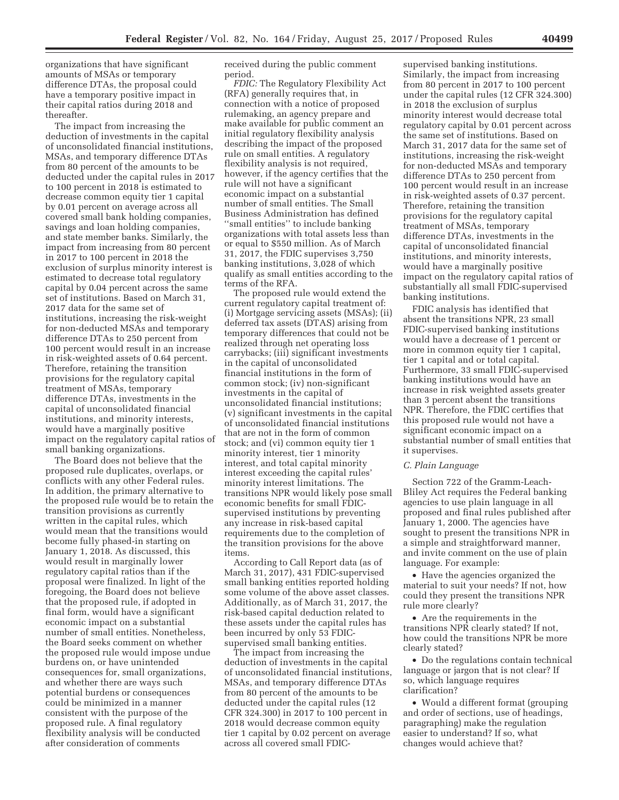organizations that have significant amounts of MSAs or temporary difference DTAs, the proposal could have a temporary positive impact in their capital ratios during 2018 and thereafter.

The impact from increasing the deduction of investments in the capital of unconsolidated financial institutions, MSAs, and temporary difference DTAs from 80 percent of the amounts to be deducted under the capital rules in 2017 to 100 percent in 2018 is estimated to decrease common equity tier 1 capital by 0.01 percent on average across all covered small bank holding companies, savings and loan holding companies, and state member banks. Similarly, the impact from increasing from 80 percent in 2017 to 100 percent in 2018 the exclusion of surplus minority interest is estimated to decrease total regulatory capital by 0.04 percent across the same set of institutions. Based on March 31, 2017 data for the same set of institutions, increasing the risk-weight for non-deducted MSAs and temporary difference DTAs to 250 percent from 100 percent would result in an increase in risk-weighted assets of 0.64 percent. Therefore, retaining the transition provisions for the regulatory capital treatment of MSAs, temporary difference DTAs, investments in the capital of unconsolidated financial institutions, and minority interests, would have a marginally positive impact on the regulatory capital ratios of small banking organizations.

The Board does not believe that the proposed rule duplicates, overlaps, or conflicts with any other Federal rules. In addition, the primary alternative to the proposed rule would be to retain the transition provisions as currently written in the capital rules, which would mean that the transitions would become fully phased-in starting on January 1, 2018. As discussed, this would result in marginally lower regulatory capital ratios than if the proposal were finalized. In light of the foregoing, the Board does not believe that the proposed rule, if adopted in final form, would have a significant economic impact on a substantial number of small entities. Nonetheless, the Board seeks comment on whether the proposed rule would impose undue burdens on, or have unintended consequences for, small organizations, and whether there are ways such potential burdens or consequences could be minimized in a manner consistent with the purpose of the proposed rule. A final regulatory flexibility analysis will be conducted after consideration of comments

received during the public comment period.

*FDIC:* The Regulatory Flexibility Act (RFA) generally requires that, in connection with a notice of proposed rulemaking, an agency prepare and make available for public comment an initial regulatory flexibility analysis describing the impact of the proposed rule on small entities. A regulatory flexibility analysis is not required, however, if the agency certifies that the rule will not have a significant economic impact on a substantial number of small entities. The Small Business Administration has defined ''small entities'' to include banking organizations with total assets less than or equal to \$550 million. As of March 31, 2017, the FDIC supervises 3,750 banking institutions, 3,028 of which qualify as small entities according to the terms of the RFA.

The proposed rule would extend the current regulatory capital treatment of: (i) Mortgage servicing assets (MSAs); (ii) deferred tax assets (DTAS) arising from temporary differences that could not be realized through net operating loss carrybacks; (iii) significant investments in the capital of unconsolidated financial institutions in the form of common stock; (iv) non-significant investments in the capital of unconsolidated financial institutions; (v) significant investments in the capital of unconsolidated financial institutions that are not in the form of common stock; and (vi) common equity tier 1 minority interest, tier 1 minority interest, and total capital minority interest exceeding the capital rules' minority interest limitations. The transitions NPR would likely pose small economic benefits for small FDICsupervised institutions by preventing any increase in risk-based capital requirements due to the completion of the transition provisions for the above items.

According to Call Report data (as of March 31, 2017), 431 FDIC-supervised small banking entities reported holding some volume of the above asset classes. Additionally, as of March 31, 2017, the risk-based capital deduction related to these assets under the capital rules has been incurred by only 53 FDICsupervised small banking entities.

The impact from increasing the deduction of investments in the capital of unconsolidated financial institutions, MSAs, and temporary difference DTAs from 80 percent of the amounts to be deducted under the capital rules (12 CFR 324.300) in 2017 to 100 percent in 2018 would decrease common equity tier 1 capital by 0.02 percent on average across all covered small FDIC-

supervised banking institutions. Similarly, the impact from increasing from 80 percent in 2017 to 100 percent under the capital rules (12 CFR 324.300) in 2018 the exclusion of surplus minority interest would decrease total regulatory capital by 0.01 percent across the same set of institutions. Based on March 31, 2017 data for the same set of institutions, increasing the risk-weight for non-deducted MSAs and temporary difference DTAs to 250 percent from 100 percent would result in an increase in risk-weighted assets of 0.37 percent. Therefore, retaining the transition provisions for the regulatory capital treatment of MSAs, temporary difference DTAs, investments in the capital of unconsolidated financial institutions, and minority interests, would have a marginally positive impact on the regulatory capital ratios of substantially all small FDIC-supervised banking institutions.

FDIC analysis has identified that absent the transitions NPR, 23 small FDIC-supervised banking institutions would have a decrease of 1 percent or more in common equity tier 1 capital, tier 1 capital and or total capital. Furthermore, 33 small FDIC-supervised banking institutions would have an increase in risk weighted assets greater than 3 percent absent the transitions NPR. Therefore, the FDIC certifies that this proposed rule would not have a significant economic impact on a substantial number of small entities that it supervises.

### *C. Plain Language*

Section 722 of the Gramm-Leach-Bliley Act requires the Federal banking agencies to use plain language in all proposed and final rules published after January 1, 2000. The agencies have sought to present the transitions NPR in a simple and straightforward manner, and invite comment on the use of plain language. For example:

• Have the agencies organized the material to suit your needs? If not, how could they present the transitions NPR rule more clearly?

• Are the requirements in the transitions NPR clearly stated? If not, how could the transitions NPR be more clearly stated?

• Do the regulations contain technical language or jargon that is not clear? If so, which language requires clarification?

• Would a different format (grouping and order of sections, use of headings, paragraphing) make the regulation easier to understand? If so, what changes would achieve that?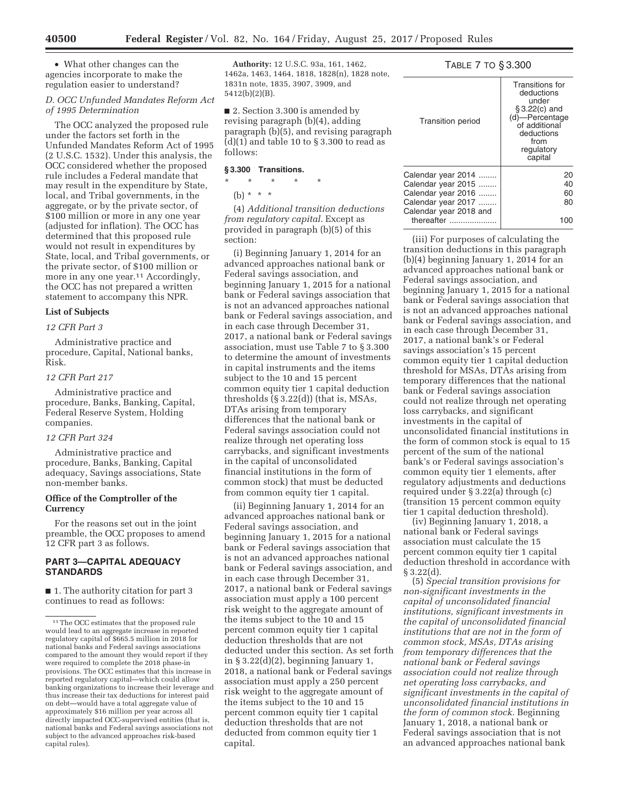• What other changes can the agencies incorporate to make the regulation easier to understand?

### *D. OCC Unfunded Mandates Reform Act of 1995 Determination*

The OCC analyzed the proposed rule under the factors set forth in the Unfunded Mandates Reform Act of 1995 (2 U.S.C. 1532). Under this analysis, the OCC considered whether the proposed rule includes a Federal mandate that may result in the expenditure by State, local, and Tribal governments, in the aggregate, or by the private sector, of \$100 million or more in any one year (adjusted for inflation). The OCC has determined that this proposed rule would not result in expenditures by State, local, and Tribal governments, or the private sector, of \$100 million or more in any one year.<sup>11</sup> Accordingly, the OCC has not prepared a written statement to accompany this NPR.

### **List of Subjects**

### *12 CFR Part 3*

Administrative practice and procedure, Capital, National banks, Risk.

### *12 CFR Part 217*

Administrative practice and procedure, Banks, Banking, Capital, Federal Reserve System, Holding companies.

### *12 CFR Part 324*

Administrative practice and procedure, Banks, Banking, Capital adequacy, Savings associations, State non-member banks.

### **Office of the Comptroller of the Currency**

For the reasons set out in the joint preamble, the OCC proposes to amend 12 CFR part 3 as follows.

### **PART 3—CAPITAL ADEQUACY STANDARDS**

■ 1. The authority citation for part 3 continues to read as follows:

**Authority:** 12 U.S.C. 93a, 161, 1462, 1462a, 1463, 1464, 1818, 1828(n), 1828 note, 1831n note, 1835, 3907, 3909, and 5412(b)(2)(B).

■ 2. Section 3.300 is amended by revising paragraph (b)(4), adding paragraph (b)(5), and revising paragraph  $(d)(1)$  and table 10 to  $\S 3.300$  to read as follows:

### **§ 3.300 Transitions.**

\* \* \* \* \*

(b) \* \* \*

(4) *Additional transition deductions from regulatory capital.* Except as provided in paragraph (b)(5) of this section:

(i) Beginning January 1, 2014 for an advanced approaches national bank or Federal savings association, and beginning January 1, 2015 for a national bank or Federal savings association that is not an advanced approaches national bank or Federal savings association, and in each case through December 31, 2017, a national bank or Federal savings association, must use Table 7 to § 3.300 to determine the amount of investments in capital instruments and the items subject to the 10 and 15 percent common equity tier 1 capital deduction thresholds (§ 3.22(d)) (that is, MSAs, DTAs arising from temporary differences that the national bank or Federal savings association could not realize through net operating loss carrybacks, and significant investments in the capital of unconsolidated financial institutions in the form of common stock) that must be deducted from common equity tier 1 capital.

(ii) Beginning January 1, 2014 for an advanced approaches national bank or Federal savings association, and beginning January 1, 2015 for a national bank or Federal savings association that is not an advanced approaches national bank or Federal savings association, and in each case through December 31, 2017, a national bank or Federal savings association must apply a 100 percent risk weight to the aggregate amount of the items subject to the 10 and 15 percent common equity tier 1 capital deduction thresholds that are not deducted under this section. As set forth in  $\S 3.22(d)(2)$ , beginning January 1, 2018, a national bank or Federal savings association must apply a 250 percent risk weight to the aggregate amount of the items subject to the 10 and 15 percent common equity tier 1 capital deduction thresholds that are not deducted from common equity tier 1 capital.

### TABLE 7 TO § 3.300

| <b>Transition period</b>                                       | Transitions for<br>deductions<br>under<br>§3.22(c) and<br>(d)-Percentage<br>of additional<br>deductions<br>from<br>regulatory<br>capital |
|----------------------------------------------------------------|------------------------------------------------------------------------------------------------------------------------------------------|
| Calendar year 2014<br>Calendar year 2015<br>Calendar year 2016 | 20<br>40<br>60                                                                                                                           |
| Calendar year 2017<br>Calendar year 2018 and                   | 80                                                                                                                                       |
| thereafter                                                     |                                                                                                                                          |

(iii) For purposes of calculating the transition deductions in this paragraph (b)(4) beginning January 1, 2014 for an advanced approaches national bank or Federal savings association, and beginning January 1, 2015 for a national bank or Federal savings association that is not an advanced approaches national bank or Federal savings association, and in each case through December 31, 2017, a national bank's or Federal savings association's 15 percent common equity tier 1 capital deduction threshold for MSAs, DTAs arising from temporary differences that the national bank or Federal savings association could not realize through net operating loss carrybacks, and significant investments in the capital of unconsolidated financial institutions in the form of common stock is equal to 15 percent of the sum of the national bank's or Federal savings association's common equity tier 1 elements, after regulatory adjustments and deductions required under § 3.22(a) through (c) (transition 15 percent common equity tier 1 capital deduction threshold).

(iv) Beginning January 1, 2018, a national bank or Federal savings association must calculate the 15 percent common equity tier 1 capital deduction threshold in accordance with  $§ 3.22(d).$ 

(5) *Special transition provisions for non-significant investments in the capital of unconsolidated financial institutions, significant investments in the capital of unconsolidated financial institutions that are not in the form of common stock, MSAs, DTAs arising from temporary differences that the national bank or Federal savings association could not realize through net operating loss carrybacks, and significant investments in the capital of unconsolidated financial institutions in the form of common stock.* Beginning January 1, 2018, a national bank or Federal savings association that is not an advanced approaches national bank

 $^{\rm 11}\rm{The \,OCC}$  estimates that the proposed rule would lead to an aggregate increase in reported regulatory capital of \$665.5 million in 2018 for national banks and Federal savings associations compared to the amount they would report if they were required to complete the 2018 phase-in provisions. The OCC estimates that this increase in reported regulatory capital—which could allow banking organizations to increase their leverage and thus increase their tax deductions for interest paid on debt—would have a total aggregate value of approximately \$16 million per year across all directly impacted OCC-supervised entities (that is, national banks and Federal savings associations not subject to the advanced approaches risk-based capital rules).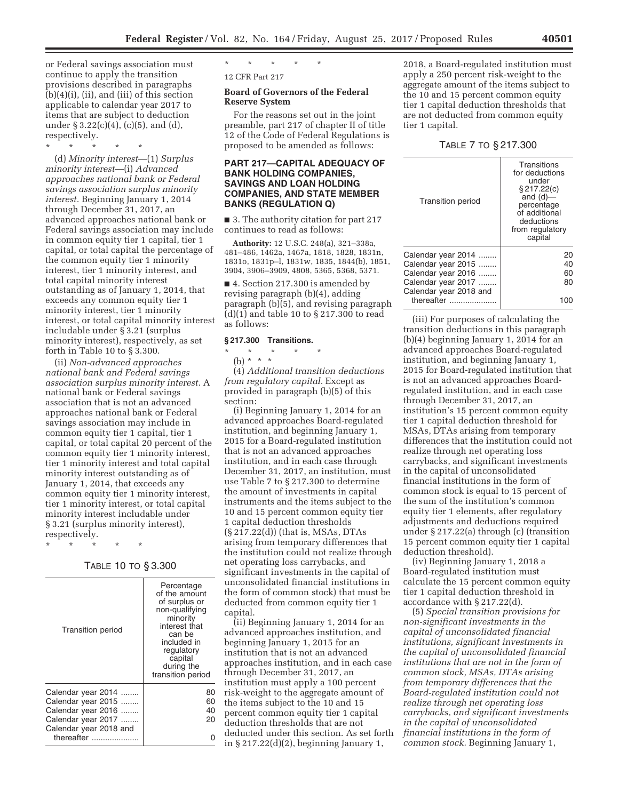or Federal savings association must continue to apply the transition provisions described in paragraphs (b)(4)(i), (ii), and (iii) of this section applicable to calendar year 2017 to items that are subject to deduction under § 3.22(c)(4), (c)(5), and (d), respectively.

\* \* \* \* \*

(d) *Minority interest*—(1) *Surplus minority interest*—(i) *Advanced approaches national bank or Federal savings association surplus minority interest.* Beginning January 1, 2014 through December 31, 2017, an advanced approaches national bank or Federal savings association may include in common equity tier 1 capital, tier 1 capital, or total capital the percentage of the common equity tier 1 minority interest, tier 1 minority interest, and total capital minority interest outstanding as of January 1, 2014, that exceeds any common equity tier 1 minority interest, tier 1 minority interest, or total capital minority interest includable under § 3.21 (surplus minority interest), respectively, as set forth in Table 10 to § 3.300.

(ii) *Non-advanced approaches national bank and Federal savings association surplus minority interest.* A national bank or Federal savings association that is not an advanced approaches national bank or Federal savings association may include in common equity tier 1 capital, tier 1 capital, or total capital 20 percent of the common equity tier 1 minority interest, tier 1 minority interest and total capital minority interest outstanding as of January 1, 2014, that exceeds any common equity tier 1 minority interest, tier 1 minority interest, or total capital minority interest includable under § 3.21 (surplus minority interest), respectively.

\* \* \* \* \*

TABLE 10 TO § 3.300

| <b>Transition period</b>                                                                                       | Percentage<br>of the amount<br>of surplus or<br>non-qualifying<br>minority<br>interest that<br>can be<br>included in<br>regulatory<br>capital<br>during the<br>transition period |
|----------------------------------------------------------------------------------------------------------------|----------------------------------------------------------------------------------------------------------------------------------------------------------------------------------|
| Calendar year 2014<br>Calendar year 2015<br>Calendar year 2016<br>Calendar year 2017<br>Calendar year 2018 and | 80<br>60<br>40<br>20                                                                                                                                                             |
| thereafter                                                                                                     |                                                                                                                                                                                  |

\* \* \* \* \* 12 CFR Part 217

## **Board of Governors of the Federal**

## **Reserve System**

For the reasons set out in the joint preamble, part 217 of chapter II of title 12 of the Code of Federal Regulations is proposed to be amended as follows:

### **PART 217—CAPITAL ADEQUACY OF BANK HOLDING COMPANIES, SAVINGS AND LOAN HOLDING COMPANIES, AND STATE MEMBER BANKS (REGULATION Q)**

■ 3. The authority citation for part 217 continues to read as follows:

**Authority:** 12 U.S.C. 248(a), 321–338a, 481–486, 1462a, 1467a, 1818, 1828, 1831n, 1831o, 1831p–l, 1831w, 1835, 1844(b), 1851, 3904, 3906–3909, 4808, 5365, 5368, 5371.

■ 4. Section 217.300 is amended by revising paragraph (b)(4), adding paragraph (b)(5), and revising paragraph (d)(1) and table 10 to § 217.300 to read as follows:

### **§ 217.300 Transitions.**

\* \* \* \* \* (b) \* \* \*

(4) *Additional transition deductions from regulatory capital.* Except as provided in paragraph (b)(5) of this section:

(i) Beginning January 1, 2014 for an advanced approaches Board-regulated institution, and beginning January 1, 2015 for a Board-regulated institution that is not an advanced approaches institution, and in each case through December 31, 2017, an institution, must use Table 7 to § 217.300 to determine the amount of investments in capital instruments and the items subject to the 10 and 15 percent common equity tier 1 capital deduction thresholds (§ 217.22(d)) (that is, MSAs, DTAs arising from temporary differences that the institution could not realize through net operating loss carrybacks, and significant investments in the capital of unconsolidated financial institutions in the form of common stock) that must be deducted from common equity tier 1 capital.

(ii) Beginning January 1, 2014 for an advanced approaches institution, and beginning January 1, 2015 for an institution that is not an advanced approaches institution, and in each case through December 31, 2017, an institution must apply a 100 percent risk-weight to the aggregate amount of the items subject to the 10 and 15 percent common equity tier 1 capital deduction thresholds that are not deducted under this section. As set forth in § 217.22(d)(2), beginning January 1,

2018, a Board-regulated institution must apply a 250 percent risk-weight to the aggregate amount of the items subject to the 10 and 15 percent common equity tier 1 capital deduction thresholds that are not deducted from common equity tier 1 capital.

TABLE 7 TO § 217.300

| <b>Transition period</b> | Transitions<br>for deductions<br>under<br>§ 217.22(c)<br>and $(d)$ —<br>percentage<br>of additional<br>deductions<br>from regulatory<br>capital |
|--------------------------|-------------------------------------------------------------------------------------------------------------------------------------------------|
| Calendar year 2014       | 20                                                                                                                                              |
| Calendar year 2015       | 40                                                                                                                                              |
| Calendar year 2016       | 60                                                                                                                                              |
| Calendar year 2017       | 80                                                                                                                                              |
| Calendar year 2018 and   |                                                                                                                                                 |
| thereafter               |                                                                                                                                                 |

(iii) For purposes of calculating the transition deductions in this paragraph (b)(4) beginning January 1, 2014 for an advanced approaches Board-regulated institution, and beginning January 1, 2015 for Board-regulated institution that is not an advanced approaches Boardregulated institution, and in each case through December 31, 2017, an institution's 15 percent common equity tier 1 capital deduction threshold for MSAs, DTAs arising from temporary differences that the institution could not realize through net operating loss carrybacks, and significant investments in the capital of unconsolidated financial institutions in the form of common stock is equal to 15 percent of the sum of the institution's common equity tier 1 elements, after regulatory adjustments and deductions required under § 217.22(a) through (c) (transition 15 percent common equity tier 1 capital deduction threshold).

(iv) Beginning January 1, 2018 a Board-regulated institution must calculate the 15 percent common equity tier 1 capital deduction threshold in accordance with § 217.22(d).

(5) *Special transition provisions for non-significant investments in the capital of unconsolidated financial institutions, significant investments in the capital of unconsolidated financial institutions that are not in the form of common stock, MSAs, DTAs arising from temporary differences that the Board-regulated institution could not realize through net operating loss carrybacks, and significant investments in the capital of unconsolidated financial institutions in the form of common stock.* Beginning January 1,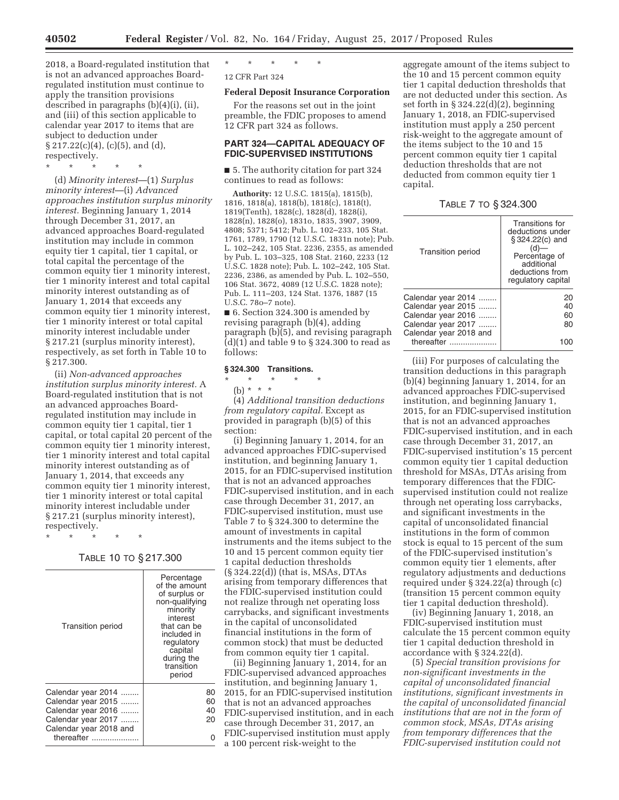2018, a Board-regulated institution that is not an advanced approaches Boardregulated institution must continue to apply the transition provisions described in paragraphs (b)(4)(i), (ii), and (iii) of this section applicable to calendar year 2017 to items that are subject to deduction under  $\S 217.22(c)(4)$ , (c)(5), and (d), respectively.

\* \* \* \* \*

(d) *Minority interest*—(1) *Surplus minority interest*—(i) *Advanced approaches institution surplus minority interest.* Beginning January 1, 2014 through December 31, 2017, an advanced approaches Board-regulated institution may include in common equity tier 1 capital, tier 1 capital, or total capital the percentage of the common equity tier 1 minority interest, tier 1 minority interest and total capital minority interest outstanding as of January 1, 2014 that exceeds any common equity tier 1 minority interest, tier 1 minority interest or total capital minority interest includable under § 217.21 (surplus minority interest), respectively, as set forth in Table 10 to § 217.300.

(ii) *Non-advanced approaches institution surplus minority interest.* A Board-regulated institution that is not an advanced approaches Boardregulated institution may include in common equity tier 1 capital, tier 1 capital, or total capital 20 percent of the common equity tier 1 minority interest, tier 1 minority interest and total capital minority interest outstanding as of January 1, 2014, that exceeds any common equity tier 1 minority interest, tier 1 minority interest or total capital minority interest includable under § 217.21 (surplus minority interest), respectively.

\* \* \* \* \*

### TABLE 10 TO § 217.300

| <b>Transition period</b>                                                             | Percentage<br>of the amount<br>of surplus or<br>non-qualifying<br>minority<br>interest<br>that can be<br>included in<br>regulatory<br>capital<br>during the<br>transition<br>period |
|--------------------------------------------------------------------------------------|-------------------------------------------------------------------------------------------------------------------------------------------------------------------------------------|
| Calendar year 2014<br>Calendar year 2015<br>Calendar year 2016<br>Calendar year 2017 | 80<br>60<br>40<br>20                                                                                                                                                                |
| Calendar year 2018 and<br>thereafter                                                 |                                                                                                                                                                                     |

## \* \* \* \* \*

## 12 CFR Part 324

### **Federal Deposit Insurance Corporation**

For the reasons set out in the joint preamble, the FDIC proposes to amend 12 CFR part 324 as follows.

### **PART 324—CAPITAL ADEQUACY OF FDIC-SUPERVISED INSTITUTIONS**

■ 5. The authority citation for part 324 continues to read as follows:

**Authority:** 12 U.S.C. 1815(a), 1815(b), 1816, 1818(a), 1818(b), 1818(c), 1818(t), 1819(Tenth), 1828(c), 1828(d), 1828(i), 1828(n), 1828(o), 1831o, 1835, 3907, 3909, 4808; 5371; 5412; Pub. L. 102–233, 105 Stat. 1761, 1789, 1790 (12 U.S.C. 1831n note); Pub. L. 102–242, 105 Stat. 2236, 2355, as amended by Pub. L. 103–325, 108 Stat. 2160, 2233 (12 U.S.C. 1828 note); Pub. L. 102–242, 105 Stat. 2236, 2386, as amended by Pub. L. 102–550, 106 Stat. 3672, 4089 (12 U.S.C. 1828 note); Pub. L. 111–203, 124 Stat. 1376, 1887 (15 U.S.C. 78o–7 note).

■ 6. Section 324.300 is amended by revising paragraph (b)(4), adding paragraph (b)(5), and revising paragraph (d)(1) and table 9 to § 324.300 to read as follows:

### **§ 324.300 Transitions.**

### \* \* \* \* \*

(b) \* \* \*

(4) *Additional transition deductions from regulatory capital.* Except as provided in paragraph (b)(5) of this section:

(i) Beginning January 1, 2014, for an advanced approaches FDIC-supervised institution, and beginning January 1, 2015, for an FDIC-supervised institution that is not an advanced approaches FDIC-supervised institution, and in each case through December 31, 2017, an FDIC-supervised institution, must use Table 7 to § 324.300 to determine the amount of investments in capital instruments and the items subject to the 10 and 15 percent common equity tier 1 capital deduction thresholds (§ 324.22(d)) (that is, MSAs, DTAs arising from temporary differences that the FDIC-supervised institution could not realize through net operating loss carrybacks, and significant investments in the capital of unconsolidated financial institutions in the form of common stock) that must be deducted from common equity tier 1 capital.

(ii) Beginning January 1, 2014, for an FDIC-supervised advanced approaches institution, and beginning January 1, 2015, for an FDIC-supervised institution that is not an advanced approaches FDIC-supervised institution, and in each case through December 31, 2017, an FDIC-supervised institution must apply a 100 percent risk-weight to the

aggregate amount of the items subject to the 10 and 15 percent common equity tier 1 capital deduction thresholds that are not deducted under this section. As set forth in § 324.22(d)(2), beginning January 1, 2018, an FDIC-supervised institution must apply a 250 percent risk-weight to the aggregate amount of the items subject to the 10 and 15 percent common equity tier 1 capital deduction thresholds that are not deducted from common equity tier 1 capital.

TABLE 7 TO § 324.300

| <b>Transition period</b>                                                                                       | Transitions for<br>deductions under<br>$$324.22(c)$ and<br>(d)<br>Percentage of<br>additional<br>deductions from<br>regulatory capital |
|----------------------------------------------------------------------------------------------------------------|----------------------------------------------------------------------------------------------------------------------------------------|
| Calendar year 2014<br>Calendar year 2015<br>Calendar year 2016<br>Calendar year 2017<br>Calendar year 2018 and | 20<br>40<br>60<br>80                                                                                                                   |
| thereafter                                                                                                     |                                                                                                                                        |

(iii) For purposes of calculating the transition deductions in this paragraph (b)(4) beginning January 1, 2014, for an advanced approaches FDIC-supervised institution, and beginning January 1, 2015, for an FDIC-supervised institution that is not an advanced approaches FDIC-supervised institution, and in each case through December 31, 2017, an FDIC-supervised institution's 15 percent common equity tier 1 capital deduction threshold for MSAs, DTAs arising from temporary differences that the FDICsupervised institution could not realize through net operating loss carrybacks, and significant investments in the capital of unconsolidated financial institutions in the form of common stock is equal to 15 percent of the sum of the FDIC-supervised institution's common equity tier 1 elements, after regulatory adjustments and deductions required under § 324.22(a) through (c) (transition 15 percent common equity tier 1 capital deduction threshold).

(iv) Beginning January 1, 2018, an FDIC-supervised institution must calculate the 15 percent common equity tier 1 capital deduction threshold in accordance with § 324.22(d).

(5) *Special transition provisions for non-significant investments in the capital of unconsolidated financial institutions, significant investments in the capital of unconsolidated financial institutions that are not in the form of common stock, MSAs, DTAs arising from temporary differences that the FDIC-supervised institution could not*